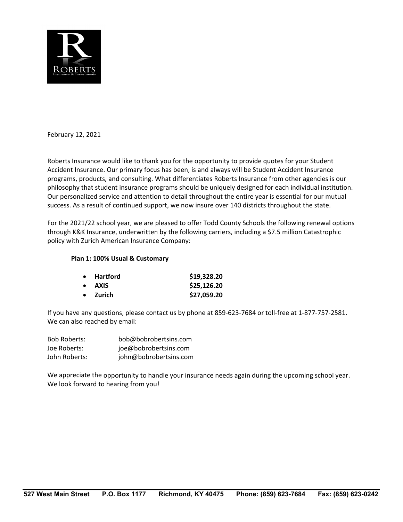

February 12, 2021

Roberts Insurance would like to thank you for the opportunity to provide quotes for your Student Accident Insurance. Our primary focus has been, is and always will be Student Accident Insurance programs, products, and consulting. What differentiates Roberts Insurance from other agencies is our philosophy that student insurance programs should be uniquely designed for each individual institution. Our personalized service and attention to detail throughout the entire year is essential for our mutual success. As a result of continued support, we now insure over 140 districts throughout the state.

For the 2021/22 school year, we are pleased to offer Todd County Schools the following renewal options through K&K Insurance, underwritten by the following carriers, including a \$7.5 million Catastrophic policy with Zurich American Insurance Company:

#### **Plan 1: 100% Usual & Customary**

| $\bullet$ Hartford | \$19,328.20 |
|--------------------|-------------|
| • AXIS             | \$25,126.20 |
| $\bullet$ Zurich   | \$27,059.20 |

If you have any questions, please contact us by phone at 859‐623‐7684 or toll‐free at 1‐877‐757‐2581. We can also reached by email:

| <b>Bob Roberts:</b> | bob@bobrobertsins.com  |
|---------------------|------------------------|
| Joe Roberts:        | joe@bobrobertsins.com  |
| John Roberts:       | john@bobrobertsins.com |

We appreciate the opportunity to handle your insurance needs again during the upcoming school year. We look forward to hearing from you!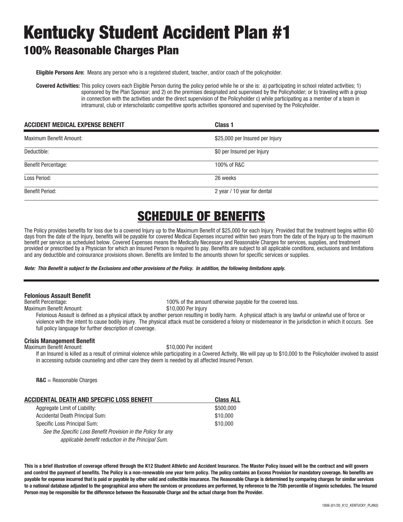# Kentucky Student Accident Plan #1 100% Reasonable Charges Plan

**Eligible Persons Are:** Means any person who is a registered student, teacher, and/or coach of the policyholder.

**Covered Activities:** This policy covers each Eligible Person during the policy period while he or she is: a) participating in school related activities; 1) sponsored by the Plan Sponsor; and 2) on the premises designated and supervised by the Policyholder; or b) traveling with a group in connection with the activities under the direct supervision of the Policyholder c) while participating as a member of a team in intramural, club or interscholastic competitive sports activities sponsored and supervised by the Policyholder.

| <b>ACCIDENT MEDICAL EXPENSE BENEFIT</b> | Class 1                         |
|-----------------------------------------|---------------------------------|
| Maximum Benefit Amount:                 | \$25,000 per Insured per Injury |
| Deductible:                             | \$0 per Insured per Injury      |
| <b>Benefit Percentage:</b>              | 100% of R&C                     |
| Loss Period:                            | 26 weeks                        |
| <b>Benefit Period:</b>                  | 2 year / 10 year for dental     |

## SCHEDULE OF BENEFITS

The Policy provides benefits for loss due to a covered Injury up to the Maximum Benefit of \$25,000 for each Injury. Provided that the treatment begins within 60 days from the date of the Injury, benefits will be payable for covered Medical Expenses incurred within two years from the date of the Injury up to the maximum benefit per service as scheduled below. Covered Expenses means the Medically Necessary and Reasonable Charges for services, supplies, and treatment provided or prescribed by a Physician for which an Insured Person is required to pay. Benefits are subject to all applicable conditions, exclusions and limitations and any deductible and coinsurance provisions shown. Benefits are limited to the amounts shown for specific services or supplies.

*Note: This Benefit is subject to the Exclusions and other provisions of the Policy. In addition, the following limitations apply.* 

#### **Felonious Assault Benefit**

Maximum Benefit Amount: \$10,000 Per Injury

100% of the amount otherwise payable for the covered loss.

Felonious Assault is defined as a physical attack by another person resulting in bodily harm. A physical attach is any lawful or unlawful use of force or

violence with the intent to cause bodily injury. The physical attack must be considered a felony or misdemeanor in the jurisdiction in which it occurs. See full policy language for further description of coverage.

#### **Crisis Management Benefit**

Maximum Benefit Amount:  $$10,000$  Per incident

 If an Insured is killed as a result of criminal violence while participating in a Covered Activity, We will pay up to \$10,000 to the Policyholder involved to assist in accessing outside counseling and other care they deem is needed by all affected Insured Person.

**R&C** = Reasonable Charges

| ACCIDENTAL DEATH AND SPECIFIC LOSS BENEFIT                    | <b>Class ALL</b> |
|---------------------------------------------------------------|------------------|
| Aggregate Limit of Liability:                                 | \$500,000        |
| Accidental Death Principal Sum:                               | \$10,000         |
| Specific Loss Principal Sum:                                  | \$10,000         |
| See the Specific Loss Benefit Provision in the Policy for any |                  |
| applicable benefit reduction in the Principal Sum.            |                  |

**This is a brief illustration of coverage offered through the K12 Student Athletic and Accident Insurance. The Master Policy issued will be the contract and will govern and control the payment of benefits. The Policy is a non-renewable one year term policy. The policy contains an Excess Provision for mandatory coverage. No benefits are payable for expense incurred that is paid or payable by other valid and collectible insurance. The Reasonable Charge is determined by comparing charges for similar services**  to a national database adjusted to the geographical area where the services or procedures are performed, by reference to the 75th percentile of Ingenix schedules. The Insured **Person may be responsible for the difference between the Reasonable Charge and the actual charge from the Provider.**